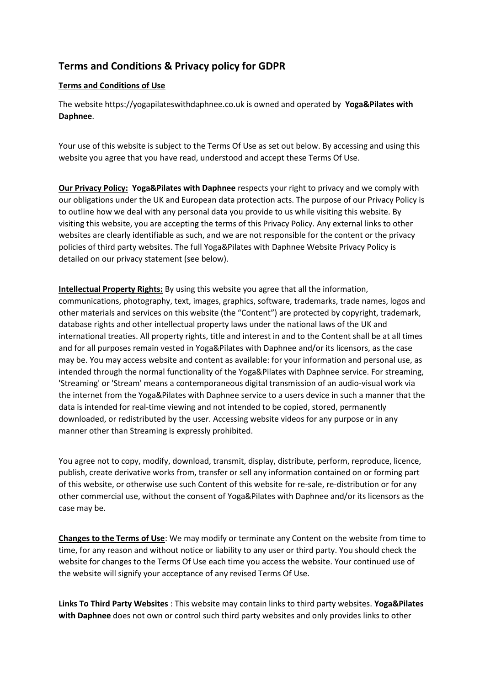# **Terms and Conditions & Privacy policy for GDPR**

# **Terms and Conditions of Use**

The website https://yogapilateswithdaphnee.co.uk is owned and operated by **Yoga&Pilates with Daphnee**.

Your use of this website is subject to the Terms Of Use as set out below. By accessing and using this website you agree that you have read, understood and accept these Terms Of Use.

**Our Privacy Policy: Yoga&Pilates with Daphnee** respects your right to privacy and we comply with our obligations under the UK and European data protection acts. The purpose of our Privacy Policy is to outline how we deal with any personal data you provide to us while visiting this website. By visiting this website, you are accepting the terms of this Privacy Policy. Any external links to other websites are clearly identifiable as such, and we are not responsible for the content or the privacy policies of third party websites. The full Yoga&Pilates with Daphnee Website Privacy Policy is detailed on our privacy statement (see below).

**Intellectual Property Rights:** By using this website you agree that all the information, communications, photography, text, images, graphics, software, trademarks, trade names, logos and other materials and services on this website (the "Content") are protected by copyright, trademark, database rights and other intellectual property laws under the national laws of the UK and international treaties. All property rights, title and interest in and to the Content shall be at all times and for all purposes remain vested in Yoga&Pilates with Daphnee and/or its licensors, as the case may be. You may access website and content as available: for your information and personal use, as intended through the normal functionality of the Yoga&Pilates with Daphnee service. For streaming, 'Streaming' or 'Stream' means a contemporaneous digital transmission of an audio-visual work via the internet from the Yoga&Pilates with Daphnee service to a users device in such a manner that the data is intended for real-time viewing and not intended to be copied, stored, permanently downloaded, or redistributed by the user. Accessing website videos for any purpose or in any manner other than Streaming is expressly prohibited.

You agree not to copy, modify, download, transmit, display, distribute, perform, reproduce, licence, publish, create derivative works from, transfer or sell any information contained on or forming part of this website, or otherwise use such Content of this website for re-sale, re-distribution or for any other commercial use, without the consent of Yoga&Pilates with Daphnee and/or its licensors as the case may be.

**Changes to the Terms of Use**: We may modify or terminate any Content on the website from time to time, for any reason and without notice or liability to any user or third party. You should check the website for changes to the Terms Of Use each time you access the website. Your continued use of the website will signify your acceptance of any revised Terms Of Use.

**Links To Third Party Websites** : This website may contain links to third party websites. **Yoga&Pilates with Daphnee** does not own or control such third party websites and only provides links to other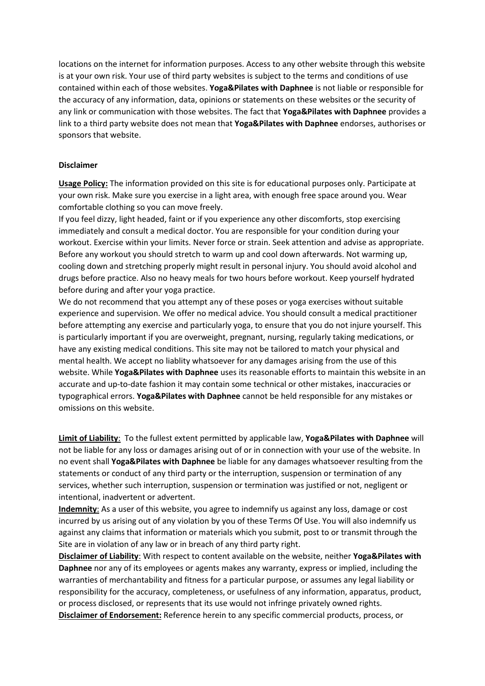locations on the internet for information purposes. Access to any other website through this website is at your own risk. Your use of third party websites is subject to the terms and conditions of use contained within each of those websites. **Yoga&Pilates with Daphnee** is not liable or responsible for the accuracy of any information, data, opinions or statements on these websites or the security of any link or communication with those websites. The fact that **Yoga&Pilates with Daphnee** provides a link to a third party website does not mean that **Yoga&Pilates with Daphnee** endorses, authorises or sponsors that website.

#### **Disclaimer**

**Usage Policy:** The information provided on this site is for educational purposes only. Participate at your own risk. Make sure you exercise in a light area, with enough free space around you. Wear comfortable clothing so you can move freely.

If you feel dizzy, light headed, faint or if you experience any other discomforts, stop exercising immediately and consult a medical doctor. You are responsible for your condition during your workout. Exercise within your limits. Never force or strain. Seek attention and advise as appropriate. Before any workout you should stretch to warm up and cool down afterwards. Not warming up, cooling down and stretching properly might result in personal injury. You should avoid alcohol and drugs before practice. Also no heavy meals for two hours before workout. Keep yourself hydrated before during and after your yoga practice.

We do not recommend that you attempt any of these poses or yoga exercises without suitable experience and supervision. We offer no medical advice. You should consult a medical practitioner before attempting any exercise and particularly yoga, to ensure that you do not injure yourself. This is particularly important if you are overweight, pregnant, nursing, regularly taking medications, or have any existing medical conditions. This site may not be tailored to match your physical and mental health. We accept no liablity whatsoever for any damages arising from the use of this website. While **Yoga&Pilates with Daphnee** uses its reasonable efforts to maintain this website in an accurate and up-to-date fashion it may contain some technical or other mistakes, inaccuracies or typographical errors. **Yoga&Pilates with Daphnee** cannot be held responsible for any mistakes or omissions on this website.

**Limit of Liability**: To the fullest extent permitted by applicable law, **Yoga&Pilates with Daphnee** will not be liable for any loss or damages arising out of or in connection with your use of the website. In no event shall **Yoga&Pilates with Daphnee** be liable for any damages whatsoever resulting from the statements or conduct of any third party or the interruption, suspension or termination of any services, whether such interruption, suspension or termination was justified or not, negligent or intentional, inadvertent or advertent.

**Indemnity**: As a user of this website, you agree to indemnify us against any loss, damage or cost incurred by us arising out of any violation by you of these Terms Of Use. You will also indemnify us against any claims that information or materials which you submit, post to or transmit through the Site are in violation of any law or in breach of any third party right.

**Disclaimer of Liability**: With respect to content available on the website, neither **Yoga&Pilates with Daphnee** nor any of its employees or agents makes any warranty, express or implied, including the warranties of merchantability and fitness for a particular purpose, or assumes any legal liability or responsibility for the accuracy, completeness, or usefulness of any information, apparatus, product, or process disclosed, or represents that its use would not infringe privately owned rights. **Disclaimer of Endorsement:** Reference herein to any specific commercial products, process, or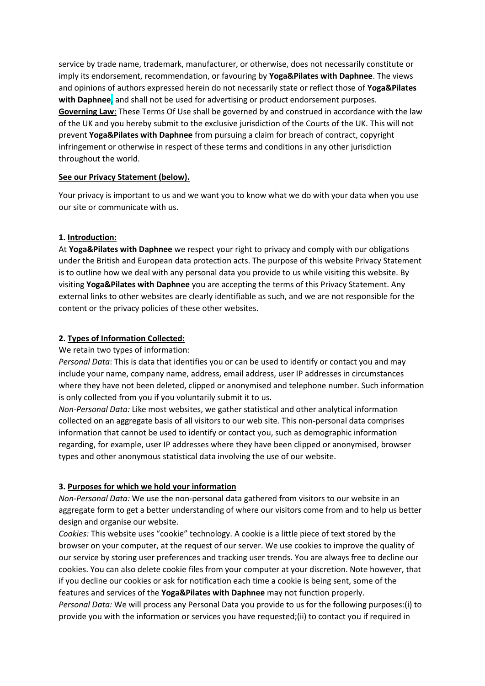service by trade name, trademark, manufacturer, or otherwise, does not necessarily constitute or imply its endorsement, recommendation, or favouring by **Yoga&Pilates with Daphnee**. The views and opinions of authors expressed herein do not necessarily state or reflect those of **Yoga&Pilates with Daphnee**, and shall not be used for advertising or product endorsement purposes. **Governing Law**: These Terms Of Use shall be governed by and construed in accordance with the law of the UK and you hereby submit to the exclusive jurisdiction of the Courts of the UK. This will not prevent **Yoga&Pilates with Daphnee** from pursuing a claim for breach of contract, copyright infringement or otherwise in respect of these terms and conditions in any other jurisdiction throughout the world.

#### **See our Privacy Statement (below).**

Your privacy is important to us and we want you to know what we do with your data when you use our site or communicate with us.

#### **1. Introduction:**

At **Yoga&Pilates with Daphnee** we respect your right to privacy and comply with our obligations under the British and European data protection acts. The purpose of this website Privacy Statement is to outline how we deal with any personal data you provide to us while visiting this website. By visiting **Yoga&Pilates with Daphnee** you are accepting the terms of this Privacy Statement. Any external links to other websites are clearly identifiable as such, and we are not responsible for the content or the privacy policies of these other websites.

### **2. Types of Information Collected:**

We retain two types of information:

*Personal Data*: This is data that identifies you or can be used to identify or contact you and may include your name, company name, address, email address, user IP addresses in circumstances where they have not been deleted, clipped or anonymised and telephone number. Such information is only collected from you if you voluntarily submit it to us.

*Non-Personal Data:* Like most websites, we gather statistical and other analytical information collected on an aggregate basis of all visitors to our web site. This non-personal data comprises information that cannot be used to identify or contact you, such as demographic information regarding, for example, user IP addresses where they have been clipped or anonymised, browser types and other anonymous statistical data involving the use of our website.

# **3. Purposes for which we hold your information**

*Non-Personal Data:* We use the non-personal data gathered from visitors to our website in an aggregate form to get a better understanding of where our visitors come from and to help us better design and organise our website.

*Cookies:* This website uses "cookie" technology. A cookie is a little piece of text stored by the browser on your computer, at the request of our server. We use cookies to improve the quality of our service by storing user preferences and tracking user trends. You are always free to decline our cookies. You can also delete cookie files from your computer at your discretion. Note however, that if you decline our cookies or ask for notification each time a cookie is being sent, some of the features and services of the **Yoga&Pilates with Daphnee** may not function properly.

*Personal Data:* We will process any Personal Data you provide to us for the following purposes:(i) to provide you with the information or services you have requested;(ii) to contact you if required in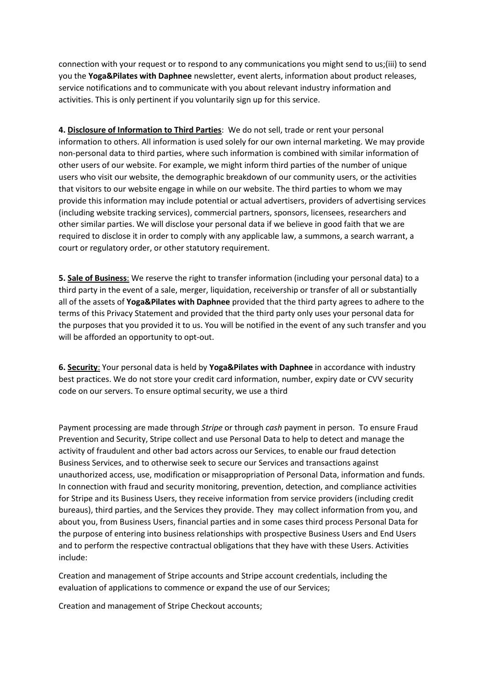connection with your request or to respond to any communications you might send to us;(iii) to send you the **Yoga&Pilates with Daphnee** newsletter, event alerts, information about product releases, service notifications and to communicate with you about relevant industry information and activities. This is only pertinent if you voluntarily sign up for this service.

**4. Disclosure of Information to Third Parties**: We do not sell, trade or rent your personal information to others. All information is used solely for our own internal marketing. We may provide non-personal data to third parties, where such information is combined with similar information of other users of our website. For example, we might inform third parties of the number of unique users who visit our website, the demographic breakdown of our community users, or the activities that visitors to our website engage in while on our website. The third parties to whom we may provide this information may include potential or actual advertisers, providers of advertising services (including website tracking services), commercial partners, sponsors, licensees, researchers and other similar parties. We will disclose your personal data if we believe in good faith that we are required to disclose it in order to comply with any applicable law, a summons, a search warrant, a court or regulatory order, or other statutory requirement.

**5. Sale of Business**: We reserve the right to transfer information (including your personal data) to a third party in the event of a sale, merger, liquidation, receivership or transfer of all or substantially all of the assets of **Yoga&Pilates with Daphnee** provided that the third party agrees to adhere to the terms of this Privacy Statement and provided that the third party only uses your personal data for the purposes that you provided it to us. You will be notified in the event of any such transfer and you will be afforded an opportunity to opt-out.

**6. Security**: Your personal data is held by **Yoga&Pilates with Daphnee** in accordance with industry best practices. We do not store your credit card information, number, expiry date or CVV security code on our servers. To ensure optimal security, we use a third

Payment processing are made through *Stripe* or through *cash* payment in person. To ensure Fraud Prevention and Security, Stripe collect and use Personal Data to help to detect and manage the activity of fraudulent and other bad actors across our Services, to enable our fraud detection Business Services, and to otherwise seek to secure our Services and transactions against unauthorized access, use, modification or misappropriation of Personal Data, information and funds. In connection with fraud and security monitoring, prevention, detection, and compliance activities for Stripe and its Business Users, they receive information from service providers (including credit bureaus), third parties, and the Services they provide. They may collect information from you, and about you, from Business Users, financial parties and in some cases third process Personal Data for the purpose of entering into business relationships with prospective Business Users and End Users and to perform the respective contractual obligations that they have with these Users. Activities include:

Creation and management of Stripe accounts and Stripe account credentials, including the evaluation of applications to commence or expand the use of our Services;

Creation and management of Stripe Checkout accounts;